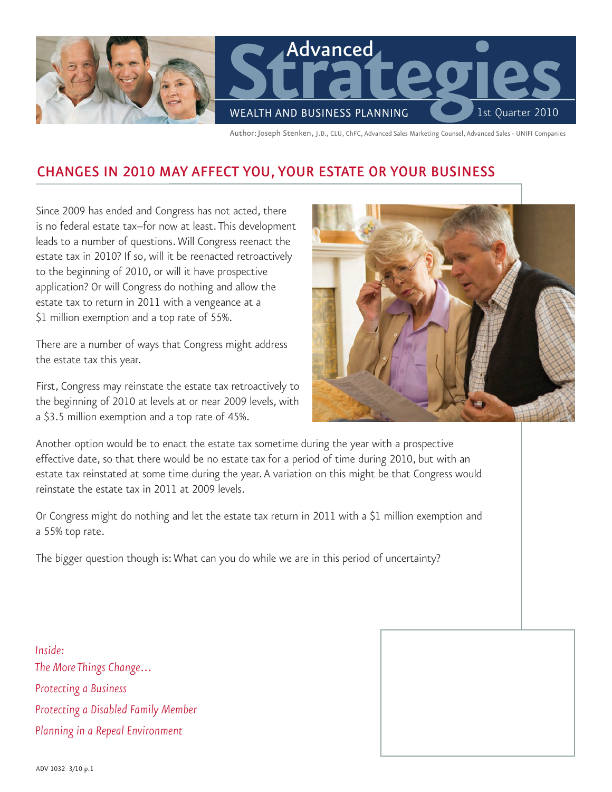

Author:Joseph Stenken, J.D., CLU, ChFC, Advanced Sales Marketing Counsel, Advanced Sales - UNIFI Companies

# CHANGES IN 2010 MAY AFFECT YOU, YOUR ESTATE OR YOUR BUSINESS

Since 2009 has ended and Congress has not acted, there is no federal estate tax–for now at least. This development leads to a number of questions. Will Congress reenact the estate tax in 2010? If so, will it be reenacted retroactively to the beginning of 2010, or will it have prospective application? Or will Congress do nothing and allow the estate tax to return in 2011 with a vengeance at a \$1 million exemption and a top rate of 55%.

There are a number of ways that Congress might address the estate tax this year.

First, Congress may reinstate the estate tax retroactively to the beginning of 2010 at levels at or near 2009 levels, with a \$3.5 million exemption and a top rate of 45%.



Another option would be to enact the estate tax sometime during the year with a prospective effective date, so that there would be no estate tax for a period of time during 2010, but with an estate tax reinstated at some time during the year. A variation on this might be that Congress would reinstate the estate tax in 2011 at 2009 levels.

Or Congress might do nothing and let the estate tax return in 2011 with a \$1 million exemption and a 55% top rate.

The bigger question though is: What can you do while we are in this period of uncertainty?

*Inside: The More Things Change... Protecting a Business Protecting a Disabled Family Member Planning in a Repeal Environment*

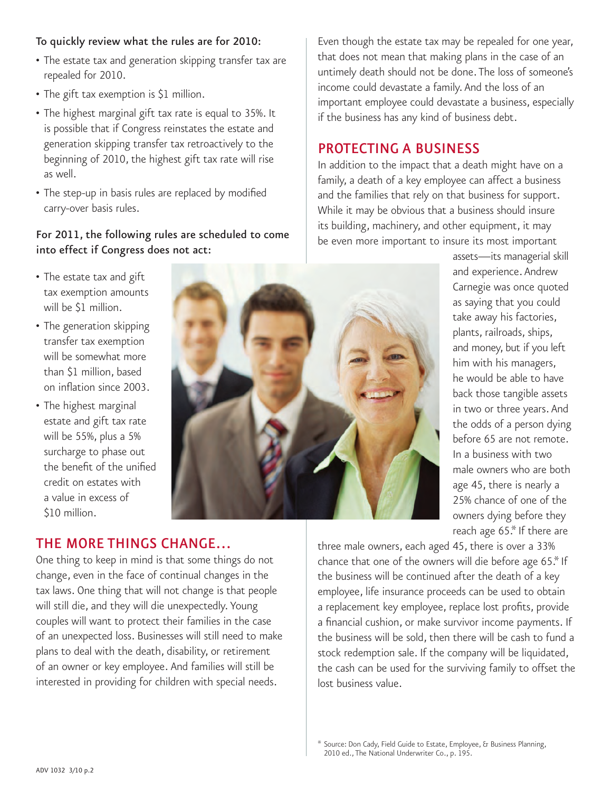#### To quickly review what the rules are for 2010:

- The estate tax and generation skipping transfer tax are repealed for 2010.
- The gift tax exemption is \$1 million.
- The highest marginal gift tax rate is equal to 35%. It is possible that if Congress reinstates the estate and generation skipping transfer tax retroactively to the beginning of 2010, the highest gift tax rate will rise as well.
- The step-up in basis rules are replaced by modified carry-over basis rules.

#### For 2011, the following rules are scheduled to come into effect if Congress does not act:

• The estate tax and gift tax exemption amounts will be \$1 million.

- The generation skipping transfer tax exemption will be somewhat more than \$1 million, based on inflation since 2003.
- The highest marginal estate and gift tax rate will be 55%, plus a 5% surcharge to phase out the benefit of the unified credit on estates with a value in excess of \$10 million.



Even though the estate tax may be repealed for one year, that does not mean that making plans in the case of an untimely death should not be done. The loss of someone's income could devastate a family. And the loss of an important employee could devastate a business, especially if the business has any kind of business debt.

# Protecting a Business

In addition to the impact that a death might have on a family, a death of a key employee can affect a business and the families that rely on that business for support. While it may be obvious that a business should insure its building, machinery, and other equipment, it may be even more important to insure its most important

> assets—its managerial skill and experience. Andrew Carnegie was once quoted as saying that you could take away his factories, plants, railroads, ships, and money, but if you left him with his managers, he would be able to have back those tangible assets in two or three years. And the odds of a person dying before 65 are not remote. In a business with two male owners who are both age 45, there is nearly a 25% chance of one of the owners dying before they reach age 65.\* If there are

three male owners, each aged 45, there is over a 33% chance that one of the owners will die before age 65.\* If the business will be continued after the death of a key employee, life insurance proceeds can be used to obtain a replacement key employee, replace lost profits, provide a financial cushion, or make survivor income payments. If the business will be sold, then there will be cash to fund a stock redemption sale. If the company will be liquidated, the cash can be used for the surviving family to offset the lost business value.

# The More Things Change…

One thing to keep in mind is that some things do not change, even in the face of continual changes in the tax laws. One thing that will not change is that people will still die, and they will die unexpectedly. Young couples will want to protect their families in the case of an unexpected loss. Businesses will still need to make plans to deal with the death, disability, or retirement of an owner or key employee. And families will still be interested in providing for children with special needs.

<sup>\*</sup> Source: Don Cady, Field Guide to Estate, Employee, & Business Planning, 2010 ed., The National Underwriter Co., p. 195.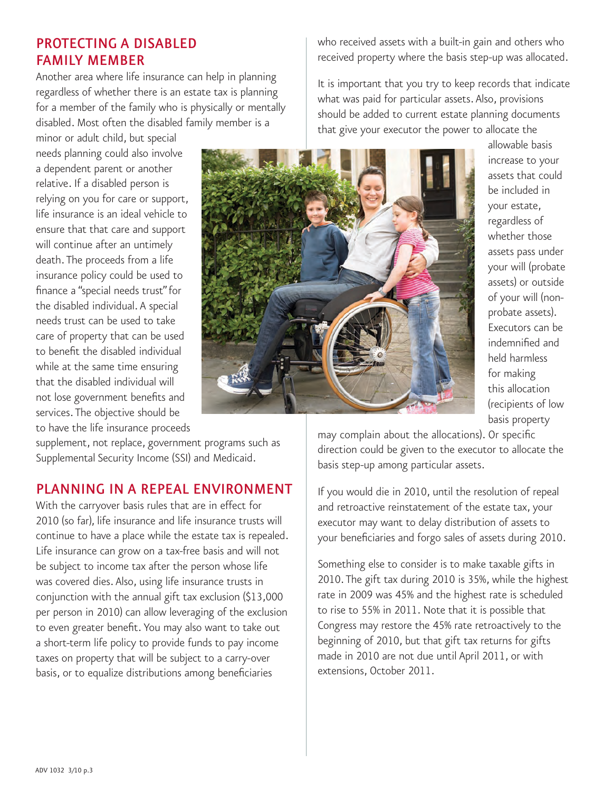## Protecting a Disabled Family Member

Another area where life insurance can help in planning regardless of whether there is an estate tax is planning for a member of the family who is physically or mentally disabled. Most often the disabled family member is a

minor or adult child, but special needs planning could also involve a dependent parent or another relative. If a disabled person is relying on you for care or support, life insurance is an ideal vehicle to ensure that that care and support will continue after an untimely death. The proceeds from a life insurance policy could be used to finance a "special needs trust"for the disabled individual. A special needs trust can be used to take care of property that can be used to benefit the disabled individual while at the same time ensuring that the disabled individual will not lose government benefits and services. The objective should be to have the life insurance proceeds

supplement, not replace, government programs such as Supplemental Security Income (SSI) and Medicaid.

## Planning in a Repeal Environment

With the carryover basis rules that are in effect for 2010 (so far), life insurance and life insurance trusts will continue to have a place while the estate tax is repealed. Life insurance can grow on a tax-free basis and will not be subject to income tax after the person whose life was covered dies. Also, using life insurance trusts in conjunction with the annual gift tax exclusion (\$13,000 per person in 2010) can allow leveraging of the exclusion to even greater benefit. You may also want to take out a short-term life policy to provide funds to pay income taxes on property that will be subject to a carry-over basis, or to equalize distributions among beneficiaries

who received assets with a built-in gain and others who received property where the basis step-up was allocated.

It is important that you try to keep records that indicate what was paid for particular assets. Also, provisions should be added to current estate planning documents that give your executor the power to allocate the

> allowable basis increase to your assets that could be included in your estate, regardless of whether those assets pass under your will (probate assets) or outside of your will (nonprobate assets). Executors can be indemnified and held harmless for making this allocation (recipients of low basis property

may complain about the allocations). Or specific direction could be given to the executor to allocate the basis step-up among particular assets.

If you would die in 2010, until the resolution of repeal and retroactive reinstatement of the estate tax, your executor may want to delay distribution of assets to your beneficiaries and forgo sales of assets during 2010.

Something else to consider is to make taxable gifts in 2010. The gift tax during 2010 is 35%, while the highest rate in 2009 was 45% and the highest rate is scheduled to rise to 55% in 2011. Note that it is possible that Congress may restore the 45% rate retroactively to the beginning of 2010, but that gift tax returns for gifts made in 2010 are not due until April 2011, or with extensions, October 2011.